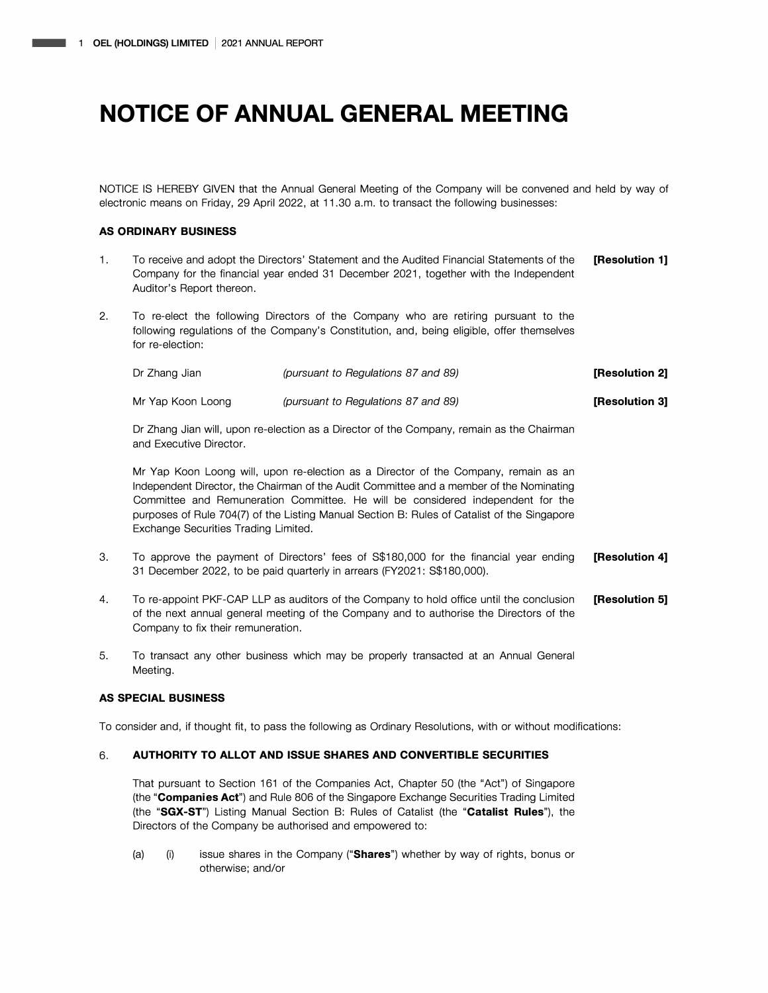NOTICE IS HEREBY GIVEN that the Annual General Meeting of the Company will be convened and held by way of electronic means on Friday, 29 April 2022, at 11.30 a.m. to transact the following businesses:

## **AS ORDINARY BUSINESS**

- 1. To receive and adopt the Directors' Statement and the Audited Financial Statements of the **[Resolution 1]**  Company for the financial year ended 31 December 2021, together with the Independent Auditor's Report thereon.
- 2. To re-elect the following Directors of the Company who are retiring pursuant to the following regulations of the Company's Constitution, and, being eligible, offer themselves for re-election:

| Dr Zhang Jian     | (pursuant to Regulations 87 and 89) | [Resolution 2] |
|-------------------|-------------------------------------|----------------|
| Mr Yap Koon Loong | (pursuant to Regulations 87 and 89) | [Resolution 3] |

Dr Zhang Jian will, upon re-election as a Director of the Company, remain as the Chairman and Executive Director.

Mr Yap Koon Loong will, upon re-election as a Director of the Company, remain as an Independent Director, the Chairman of the Audit Committee and a member of the Nominating Committee and Remuneration Committee. He will be considered independent for the purposes of Rule 704(7) of the Listing Manual Section B: Rules of Catalist of the Singapore Exchange Securities Trading Limited.

- 3. To approve the payment of Directors' fees of S\$180,000 for the financial year ending **[Resolution 4]**  31 December 2022, to be paid quarterly in arrears (FY2021: S\$180,000).
- 4. To re-appoint PKF-CAP LLP as auditors of the Company to hold office until the conclusion **[Resolution 5]**  of the next annual general meeting of the Company and to authorise the Directors of the Company to fix their remuneration.
- 5. To transact any other business which may be properly transacted at an Annual General Meeting.

### **AS SPECIAL BUSINESS**

To consider and, if thought fit, to pass the following as Ordinary Resolutions, with or without modifications:

### **6. AUTHORITY TO ALLOT AND ISSUE SHARES AND CONVERTIBLE SECURITIES**

That pursuant to Section 161 of the Companies Act, Chapter 50 (the "Act") of Singapore (the **"Companies Act")** and Rule 806 of the Singapore Exchange Securities Trading Limited (the **"SGX-ST")** Listing Manual Section B: Rules of Catalist (the **"Catalist Rules"),** the Directors of the Company be authorised and empowered to:

(a) (i) issue shares in the Company **("Shares")** whether by way of rights, bonus or otherwise; and/or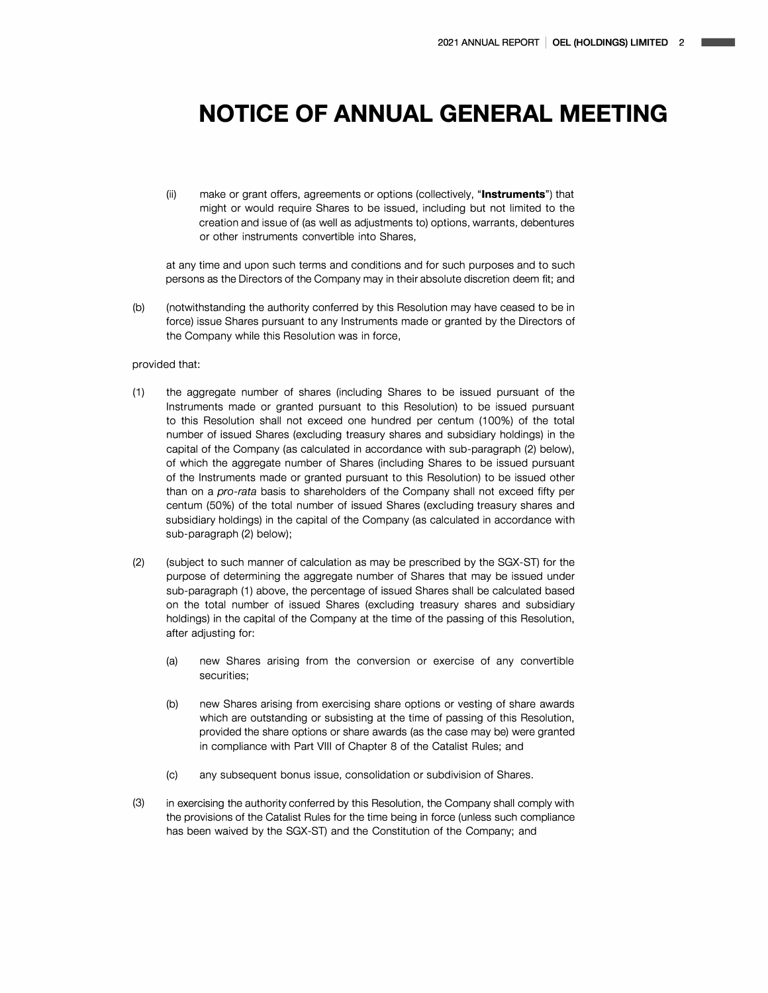(ii) make or grant offers, agreements or options (collectively, **"Instruments")** that might or would require Shares to be issued, including but not limited to the creation and issue of (as well as adjustments to) options, warrants, debentures or other instruments convertible into Shares,

at any time and upon such terms and conditions and for such purposes and to such persons as the Directors of the Company may in their absolute discretion deem fit; and

(b) (notwithstanding the authority conferred by this Resolution may have ceased to be in force) issue Shares pursuant to any Instruments made or granted by the Directors of the Company while this Resolution was in force,

### provided that:

- (1) the aggregate number of shares (including Shares to be issued pursuant of the Instruments made or granted pursuant to this Resolution) to be issued pursuant to this Resolution shall not exceed one hundred per centum (100%) of the total number of issued Shares (excluding treasury shares and subsidiary holdings) in the capital of the Company (as calculated in accordance with sub-paragraph (2) below), of which the aggregate number of Shares (including Shares to be issued pursuant of the Instruments made or granted pursuant to this Resolution) to be issued other than on a *pro-rata* basis to shareholders of the Company shall not exceed fifty per centum (50%) of the total number of issued Shares (excluding treasury shares and subsidiary holdings) in the capital of the Company (as calculated in accordance with sub-paragraph (2) below);
- (2) (subject to such manner of calculation as may be prescribed by the SGX-ST) for the purpose of determining the aggregate number of Shares that may be issued under sub-paragraph (1) above, the percentage of issued Shares shall be calculated based on the total number of issued Shares (excluding treasury shares and subsidiary holdings) in the capital of the Company at the time of the passing of this Resolution, after adjusting for:
	- (a) new Shares arising from the conversion or exercise of any convertible securities;
	- (b) new Shares arising from exercising share options or vesting of share awards which are outstanding or subsisting at the time of passing of this Resolution, provided the share options or share awards (as the case may be) were granted in compliance with Part VIII of Chapter 8 of the Catalist Rules; and
	- (c) any subsequent bonus issue, consolidation or subdivision of Shares.
- (3) in exercising the authority conferred by this Resolution, the Company shall comply with the provisions of the Catalist Rules for the time being in force (unless such compliance has been waived by the SGX-ST) and the Constitution of the Company; and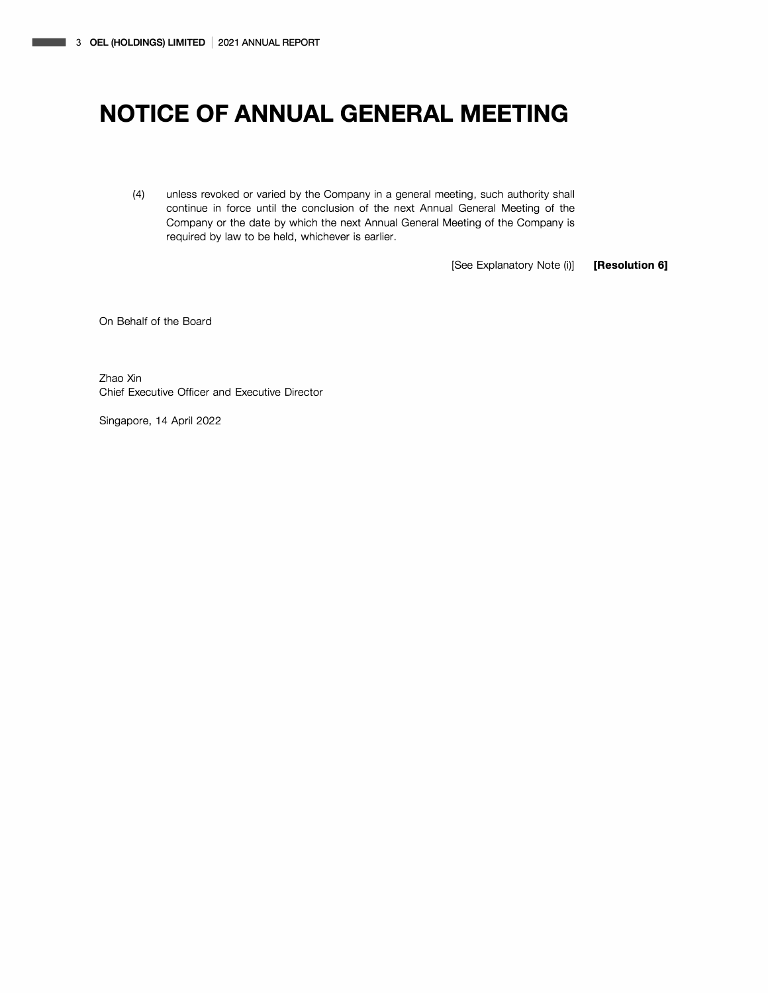(4) unless revoked or varied by the Company in a general meeting, such authority shall continue in force until the conclusion of the next Annual General Meeting of the Company or the date by which the next Annual General Meeting of the Company is required by law to be held, whichever is earlier.

[See Explanatory Note (i)] **[Resolution 6]** 

On Behalf of the Board

Zhao Xin Chief Executive Officer and Executive Director

Singapore, 14 April 2022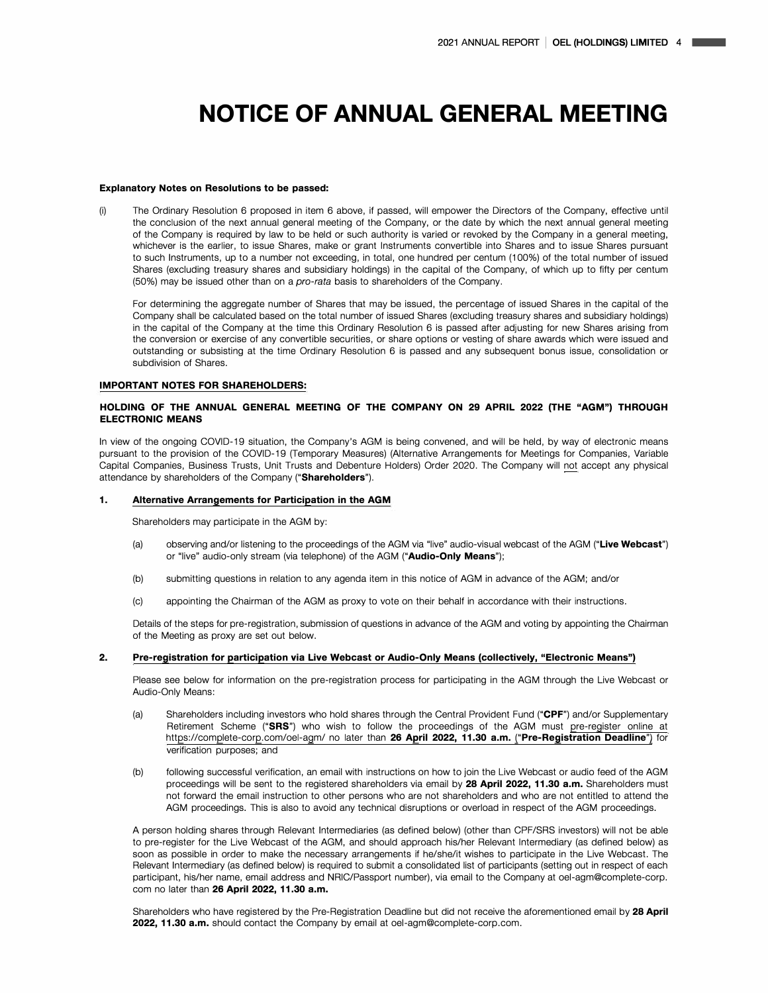#### **Explanatory Notes on Resolutions to be passed:**

(i) The Ordinary Resolution 6 proposed in item 6 above, if passed, will empower the Directors of the Company, effective until the conclusion of the next annual general meeting of the Company, or the date by which the next annual general meeting of the Company is required by law to be held or such authority is varied or revoked by the Company in a general meeting, whichever is the earlier, to issue Shares, make or grant Instruments convertible into Shares and to issue Shares pursuant to such Instruments, up to a number not exceeding, in total, one hundred per centum (100%) of the total number of issued Shares (excluding treasury shares and subsidiary holdings) in the capital of the Company, of which up to fifty per centum (50%) may be issued other than on a *pro-rata* basis to shareholders of the Company.

For determining the aggregate number of Shares that may be issued, the percentage of issued Shares in the capital of the Company shall be calculated based on the total number of issued Shares (excluding treasury shares and subsidiary holdings) in the capital of the Company at the time this Ordinary Resolution 6 is passed after adjusting for new Shares arising from the conversion or exercise of any convertible securities, or share options or vesting of share awards which were issued and outstanding or subsisting at the time Ordinary Resolution 6 is passed and any subsequent bonus issue, consolidation or subdivision of Shares.

#### **IMPORTANT NOTES FOR SHAREHOLDERS:**

### **HOLDING OF THE ANNUAL GENERAL MEETING OF THE COMPANY ON 29 APRIL 2022 (THE "AGM") THROUGH ELECTRONIC MEANS**

In view of the ongoing COVID-19 situation, the Company's AGM is being convened, and will be held, by way of electronic means pursuant to the provision of the COVID-19 (Temporary Measures) (Alternative Arrangements for Meetings for Companies, Variable Capital Companies, Business Trusts, Unit Trusts and Debenture Holders) Order 2020. The Company will not accept any physical attendance by shareholders of the Company **("Shareholders").** 

#### **1. Alternative Arrangements for Participation in the AGM**

Shareholders may participate in the AGM by:

- (a) observing and/or listening to the proceedings of the AGM via "live" audio-visual webcast of the AGM **("Live Webcast")**  or "live" audio-only stream (via telephone) of the AGM **("Audio-Only Means");**
- (b) submitting questions in relation to any agenda item in this notice of AGM in advance of the AGM; and/or
- (c) appointing the Chairman of the AGM as proxy to vote on their behalf in accordance with their instructions.

Details of the steps for pre-registration, submission of questions in advance of the AGM and voting by appointing the Chairman of the Meeting as proxy are set out below.

#### **2. Pre-registration for participation via Live Webcast or Audio-Only Means (collectively, "Electronic Means")**

Please see below for information on the pre-registration process for participating in the AGM through the Live Webcast or Audio-Only Means:

- (a) Shareholders including investors who hold shares through the Central Provident Fund **("CPF")** and/or Supplementary Retirement Scheme **("SRS")** who wish to follow the proceedings of the AGM must pre-register online at https://complete-corp.com/oel-agm/ no later than **26 April 2022, 11.30 a.m. ("Pre-Registration Deadline")** for verification purposes; and
- (b) following successful verification, an email with instructions on how to join the Live Webcast or audio feed of the AGM proceedings will be sent to the registered shareholders via email by **28 April 2022, 11.30 a.m.** Shareholders must not forward the email instruction to other persons who are not shareholders and who are not entitled to attend the AGM proceedings. This is also to avoid any technical disruptions or overload in respect of the AGM proceedings.

A person holding shares through Relevant Intermediaries (as defined below) (other than CPF/SRS investors) will not be able to pre-register for the Live Webcast of the AGM, and should approach his/her Relevant Intermediary (as defined below) as soon as possible in order to make the necessary arrangements if he/she/it wishes to participate in the Live Webcast. The Relevant Intermediary (as defined below) is required to submit a consolidated list of participants (setting out in respect of each participant, his/her name, email address and NRIC/Passport number), via email to the Company at oel-agm@complete-corp. com no later than **26 April 2022, 11.30 a.m.** 

Shareholders who have registered by the Pre-Registration Deadline but did not receive the aforementioned email by **28 April 2022, 11.30 a.m.** should contact the Company by email at oel-agm@complete-corp.com.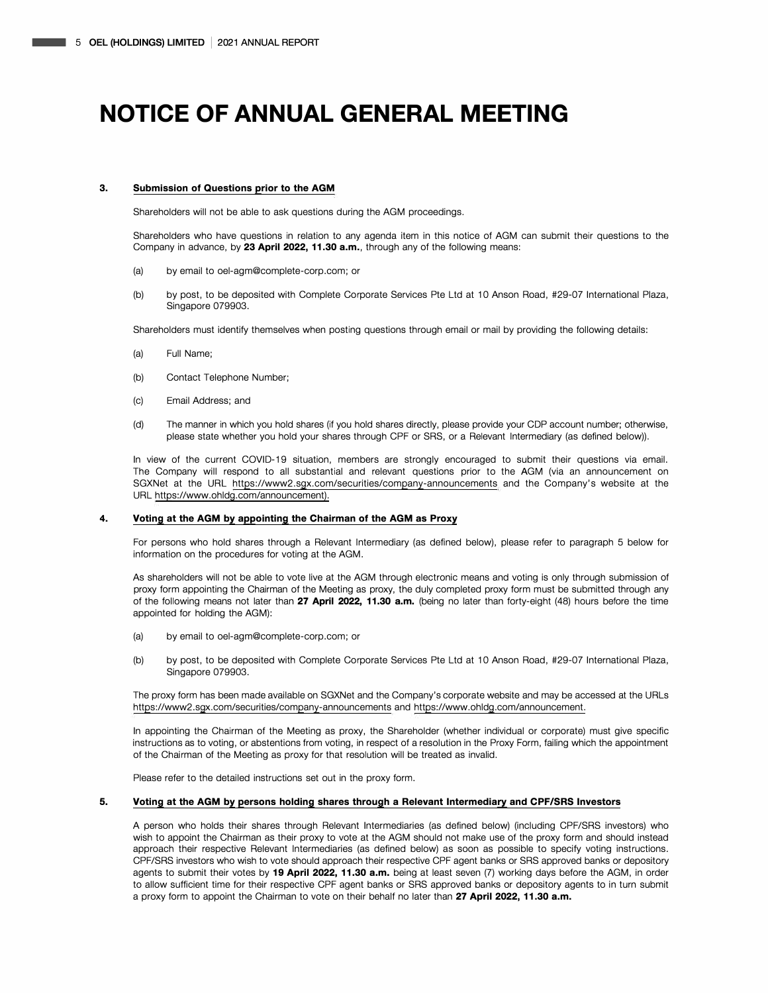#### **3. Submission of Questions prior to the AGM**

Shareholders will not be able to ask questions during the AGM proceedings.

Shareholders who have questions in relation to any agenda item in this notice of AGM can submit their questions to the Company in advance, by **23 April 2022, 11.30 a.m.,** through any of the following means:

- (a) by email to oel-agm@complete-corp.com; or
- (b) by post, to be deposited with Complete Corporate Services Pte Ltd at 10 Anson Road, #29-07 International Plaza, Singapore 079903.

Shareholders must identify themselves when posting questions through email or mail by providing the following details:

- (a) Full Name;
- (b) Contact Telephone Number;
- (c) Email Address; and
- (d) The manner in which you hold shares (if you hold shares directly, please provide your CDP account number; otherwise, please state whether you hold your shares through CPF or SRS, or a Relevant Intermediary (as defined below)).

In view of the current COVID-19 situation, members are strongly encouraged to submit their questions via email. The Company will respond to all substantial and relevant questions prior to the **AGM** (via an announcement on SGXNet at the URL https://www2.sgx.com/securities/company-announcements and the Company's website at the URL https://www.ohldg.com/announcement).

#### **4. Voting at the AGM by appointing the Chairman of the AGM as Proxy**

For persons who hold shares through a Relevant Intermediary (as defined below), please refer to paragraph 5 below for information on the procedures for voting at the AGM.

As shareholders will not be able to vote live at the AGM through electronic means and voting is only through submission of proxy form appointing the Chairman of the Meeting as proxy, the duly completed proxy form must be submitted through any of the following means not later than **27 April 2022, 11.30 a.m.** (being no later than forty-eight (48) hours before the time appointed for holding the AGM):

- (a) by email to oel-agm@complete-corp.com; or
- (b) by post, to be deposited with Complete Corporate Services Pte Ltd at 10 Anson Road, #29-07 International Plaza, Singapore 079903.

The proxy form has been made available on SGXNet and the Company's corporate website and may be accessed at the URLs https://www2.sgx.com/securities/company-announcements and https://www.ohldg.com/announcement.

In appointing the Chairman of the Meeting as proxy, the Shareholder (whether individual or corporate) must give specific instructions as to voting, or abstentions from voting, in respect of a resolution in the Proxy Form, failing which the appointment of the Chairman of the Meeting as proxy for that resolution will be treated as invalid.

Please refer to the detailed instructions set out in the proxy form.

### **5. Voting at the AGM by persons holding shares through a Relevant Intermediary and CPF/SRS Investors**

A person who holds their shares through Relevant Intermediaries (as defined below) (including CPF/SRS investors) who wish to appoint the Chairman as their proxy to vote at the AGM should not make use of the proxy form and should instead approach their respective Relevant Intermediaries (as defined below) as soon as possible to specify voting instructions. CPF/SRS investors who wish to vote should approach their respective CPF agent banks or SRS approved banks or depository agents to submit their votes by **19 April 2022, 11.30 a.m.** being at least seven (7) working days before the AGM, in order to allow sufficient time for their respective CPF agent banks or SRS approved banks or depository agents to in turn submit a proxy form to appoint the Chairman to vote on their behalf no later than **27 April 2022, 11.30 a.m.**